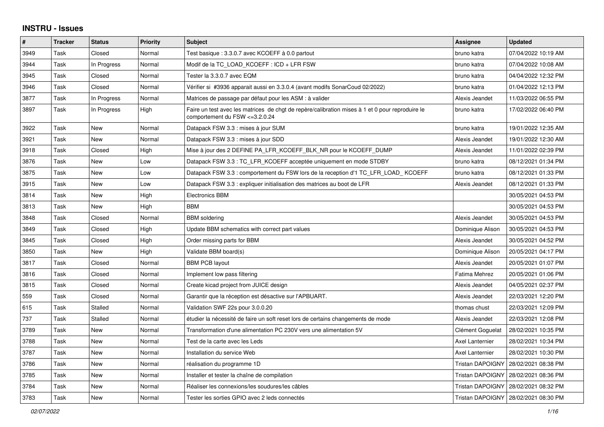## **INSTRU - Issues**

| $\vert$ # | <b>Tracker</b> | <b>Status</b> | <b>Priority</b> | <b>Subject</b>                                                                                                                     | Assignee                | <b>Updated</b>                         |
|-----------|----------------|---------------|-----------------|------------------------------------------------------------------------------------------------------------------------------------|-------------------------|----------------------------------------|
| 3949      | Task           | Closed        | Normal          | Test basique : 3.3.0.7 avec KCOEFF à 0.0 partout                                                                                   | bruno katra             | 07/04/2022 10:19 AM                    |
| 3944      | Task           | In Progress   | Normal          | Modif de la TC LOAD KCOEFF : ICD + LFR FSW                                                                                         | bruno katra             | 07/04/2022 10:08 AM                    |
| 3945      | Task           | Closed        | Normal          | Tester la 3.3.0.7 avec EQM                                                                                                         | bruno katra             | 04/04/2022 12:32 PM                    |
| 3946      | Task           | Closed        | Normal          | Vérifier si #3936 apparait aussi en 3.3.0.4 (avant modifs SonarCoud 02/2022)                                                       | bruno katra             | 01/04/2022 12:13 PM                    |
| 3877      | Task           | In Progress   | Normal          | Matrices de passage par défaut pour les ASM : à valider                                                                            | Alexis Jeandet          | 11/03/2022 06:55 PM                    |
| 3897      | Task           | In Progress   | High            | Faire un test avec les matrices de chgt de repère/calibration mises à 1 et 0 pour reproduire le<br>comportement du FSW <= 3.2.0.24 | bruno katra             | 17/02/2022 06:40 PM                    |
| 3922      | Task           | New           | Normal          | Datapack FSW 3.3 : mises à jour SUM                                                                                                | bruno katra             | 19/01/2022 12:35 AM                    |
| 3921      | Task           | <b>New</b>    | Normal          | Datapack FSW 3.3 : mises à jour SDD                                                                                                | Alexis Jeandet          | 19/01/2022 12:30 AM                    |
| 3918      | Task           | Closed        | High            | Mise à jour des 2 DEFINE PA LFR KCOEFF BLK NR pour le KCOEFF DUMP                                                                  | Alexis Jeandet          | 11/01/2022 02:39 PM                    |
| 3876      | Task           | <b>New</b>    | Low             | Datapack FSW 3.3 : TC LFR KCOEFF acceptée uniquement en mode STDBY                                                                 | bruno katra             | 08/12/2021 01:34 PM                    |
| 3875      | Task           | <b>New</b>    | Low             | Datapack FSW 3.3 : comportement du FSW lors de la reception d'1 TC LFR LOAD KCOEFF                                                 | bruno katra             | 08/12/2021 01:33 PM                    |
| 3915      | Task           | <b>New</b>    | Low             | Datapack FSW 3.3 : expliquer initialisation des matrices au boot de LFR                                                            | Alexis Jeandet          | 08/12/2021 01:33 PM                    |
| 3814      | Task           | <b>New</b>    | High            | <b>Electronics BBM</b>                                                                                                             |                         | 30/05/2021 04:53 PM                    |
| 3813      | Task           | New           | High            | <b>BBM</b>                                                                                                                         |                         | 30/05/2021 04:53 PM                    |
| 3848      | Task           | Closed        | Normal          | <b>BBM</b> soldering                                                                                                               | Alexis Jeandet          | 30/05/2021 04:53 PM                    |
| 3849      | Task           | Closed        | High            | Update BBM schematics with correct part values                                                                                     | Dominique Alison        | 30/05/2021 04:53 PM                    |
| 3845      | Task           | Closed        | High            | Order missing parts for BBM                                                                                                        | Alexis Jeandet          | 30/05/2021 04:52 PM                    |
| 3850      | Task           | <b>New</b>    | High            | Validate BBM board(s)                                                                                                              | Dominique Alison        | 20/05/2021 04:17 PM                    |
| 3817      | Task           | Closed        | Normal          | <b>BBM PCB layout</b>                                                                                                              | Alexis Jeandet          | 20/05/2021 01:07 PM                    |
| 3816      | Task           | Closed        | Normal          | Implement low pass filtering                                                                                                       | Fatima Mehrez           | 20/05/2021 01:06 PM                    |
| 3815      | Task           | Closed        | Normal          | Create kicad project from JUICE design                                                                                             | Alexis Jeandet          | 04/05/2021 02:37 PM                    |
| 559       | Task           | Closed        | Normal          | Garantir que la réception est désactive sur l'APBUART.                                                                             | Alexis Jeandet          | 22/03/2021 12:20 PM                    |
| 615       | Task           | Stalled       | Normal          | Validation SWF 22s pour 3.0.0.20                                                                                                   | thomas chust            | 22/03/2021 12:09 PM                    |
| 737       | Task           | Stalled       | Normal          | étudier la nécessité de faire un soft reset lors de certains changements de mode                                                   | Alexis Jeandet          | 22/03/2021 12:08 PM                    |
| 3789      | Task           | New           | Normal          | Transformation d'une alimentation PC 230V vers une alimentation 5V                                                                 | Clément Goguelat        | 28/02/2021 10:35 PM                    |
| 3788      | Task           | New           | Normal          | Test de la carte avec les Leds                                                                                                     | <b>Axel Lanternier</b>  | 28/02/2021 10:34 PM                    |
| 3787      | Task           | <b>New</b>    | Normal          | Installation du service Web                                                                                                        | <b>Axel Lanternier</b>  | 28/02/2021 10:30 PM                    |
| 3786      | Task           | <b>New</b>    | Normal          | réalisation du programme 1D                                                                                                        | <b>Tristan DAPOIGNY</b> | 28/02/2021 08:38 PM                    |
| 3785      | Task           | <b>New</b>    | Normal          | Installer et tester la chaîne de compilation                                                                                       | Tristan DAPOIGNY        | 28/02/2021 08:36 PM                    |
| 3784      | Task           | <b>New</b>    | Normal          | Réaliser les connexions/les soudures/les câbles                                                                                    | <b>Tristan DAPOIGNY</b> | 28/02/2021 08:32 PM                    |
| 3783      | Task           | <b>New</b>    | Normal          | Tester les sorties GPIO avec 2 leds connectés                                                                                      |                         | Tristan DAPOIGNY   28/02/2021 08:30 PM |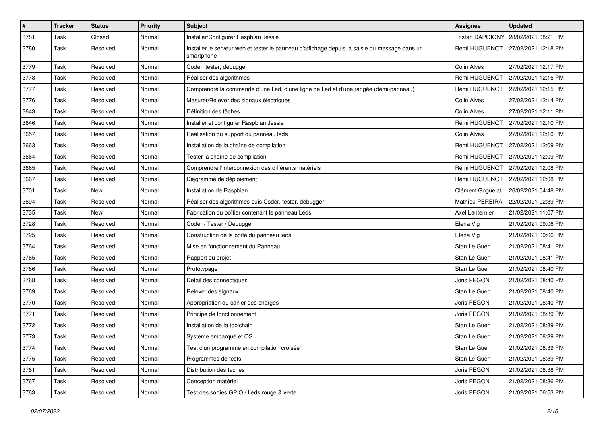| $\pmb{\#}$ | <b>Tracker</b> | <b>Status</b> | <b>Priority</b> | <b>Subject</b>                                                                                              | <b>Assignee</b>         | <b>Updated</b>      |
|------------|----------------|---------------|-----------------|-------------------------------------------------------------------------------------------------------------|-------------------------|---------------------|
| 3781       | Task           | Closed        | Normal          | Installer/Configurer Raspbian Jessie                                                                        | <b>Tristan DAPOIGNY</b> | 28/02/2021 08:21 PM |
| 3780       | Task           | Resolved      | Normal          | Installer le serveur web et tester le panneau d'affichage depuis la saisie du message dans un<br>smartphone | Rémi HUGUENOT           | 27/02/2021 12:18 PM |
| 3779       | Task           | Resolved      | Normal          | Coder, tester, debugger                                                                                     | Colin Alves             | 27/02/2021 12:17 PM |
| 3778       | Task           | Resolved      | Normal          | Réaliser des algorithmes                                                                                    | Rémi HUGUENOT           | 27/02/2021 12:16 PM |
| 3777       | Task           | Resolved      | Normal          | Comprendre la commande d'une Led, d'une ligne de Led et d'une rangée (demi-panneau)                         | Rémi HUGUENOT           | 27/02/2021 12:15 PM |
| 3776       | Task           | Resolved      | Normal          | Mesurer/Relever des signaux électriques                                                                     | Colin Alves             | 27/02/2021 12:14 PM |
| 3643       | Task           | Resolved      | Normal          | Définition des tâches                                                                                       | Colin Alves             | 27/02/2021 12:11 PM |
| 3646       | Task           | Resolved      | Normal          | Installer et configurer Raspbian Jessie                                                                     | Rémi HUGUENOT           | 27/02/2021 12:10 PM |
| 3657       | Task           | Resolved      | Normal          | Réalisation du support du panneau leds                                                                      | Colin Alves             | 27/02/2021 12:10 PM |
| 3663       | Task           | Resolved      | Normal          | Installation de la chaîne de compilation                                                                    | Rémi HUGUENOT           | 27/02/2021 12:09 PM |
| 3664       | Task           | Resolved      | Normal          | Tester la chaîne de compilation                                                                             | Rémi HUGUENOT           | 27/02/2021 12:09 PM |
| 3665       | Task           | Resolved      | Normal          | Comprendre l'interconnexion des différents matériels                                                        | Rémi HUGUENOT           | 27/02/2021 12:08 PM |
| 3667       | Task           | Resolved      | Normal          | Diagramme de déploiement                                                                                    | Rémi HUGUENOT           | 27/02/2021 12:08 PM |
| 3701       | Task           | <b>New</b>    | Normal          | Installation de Raspbian                                                                                    | Clément Goguelat        | 26/02/2021 04:48 PM |
| 3694       | Task           | Resolved      | Normal          | Réaliser des algorithmes puis Coder, tester, debugger                                                       | Mathieu PEREIRA         | 22/02/2021 02:39 PM |
| 3735       | Task           | <b>New</b>    | Normal          | Fabrication du boîtier contenant le panneau Leds                                                            | Axel Lanternier         | 21/02/2021 11:07 PM |
| 3728       | Task           | Resolved      | Normal          | Coder / Tester / Debugger                                                                                   | Elena Vig               | 21/02/2021 09:06 PM |
| 3725       | Task           | Resolved      | Normal          | Construction de la boîte du panneau leds                                                                    | Elena Vig               | 21/02/2021 09:06 PM |
| 3764       | Task           | Resolved      | Normal          | Mise en fonctionnement du Panneau                                                                           | Stan Le Guen            | 21/02/2021 08:41 PM |
| 3765       | Task           | Resolved      | Normal          | Rapport du projet                                                                                           | Stan Le Guen            | 21/02/2021 08:41 PM |
| 3766       | Task           | Resolved      | Normal          | Prototypage                                                                                                 | Stan Le Guen            | 21/02/2021 08:40 PM |
| 3768       | Task           | Resolved      | Normal          | Détail des connectiques                                                                                     | Joris PEGON             | 21/02/2021 08:40 PM |
| 3769       | Task           | Resolved      | Normal          | Relever des signaux                                                                                         | Stan Le Guen            | 21/02/2021 08:40 PM |
| 3770       | Task           | Resolved      | Normal          | Appropriation du cahier des charges                                                                         | Joris PEGON             | 21/02/2021 08:40 PM |
| 3771       | Task           | Resolved      | Normal          | Principe de fonctionnement                                                                                  | Joris PEGON             | 21/02/2021 08:39 PM |
| 3772       | Task           | Resolved      | Normal          | Installation de la toolchain                                                                                | Stan Le Guen            | 21/02/2021 08:39 PM |
| 3773       | Task           | Resolved      | Normal          | Système embarqué et OS                                                                                      | Stan Le Guen            | 21/02/2021 08:39 PM |
| 3774       | Task           | Resolved      | Normal          | Test d'un programme en compilation croisée                                                                  | Stan Le Guen            | 21/02/2021 08:39 PM |
| 3775       | Task           | Resolved      | Normal          | Programmes de tests                                                                                         | Stan Le Guen            | 21/02/2021 08:39 PM |
| 3761       | Task           | Resolved      | Normal          | Distribution des taches                                                                                     | Joris PEGON             | 21/02/2021 08:38 PM |
| 3767       | Task           | Resolved      | Normal          | Conception matériel                                                                                         | Joris PEGON             | 21/02/2021 08:36 PM |
| 3763       | Task           | Resolved      | Normal          | Test des sorties GPIO / Leds rouge & verte                                                                  | Joris PEGON             | 21/02/2021 06:53 PM |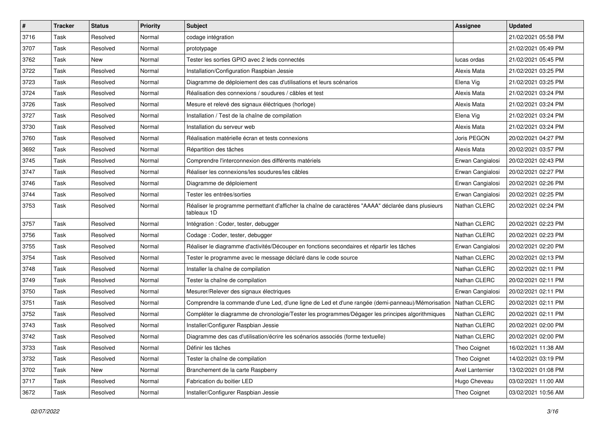| $\vert$ # | <b>Tracker</b> | <b>Status</b> | <b>Priority</b> | <b>Subject</b>                                                                                                    | <b>Assignee</b>  | <b>Updated</b>      |
|-----------|----------------|---------------|-----------------|-------------------------------------------------------------------------------------------------------------------|------------------|---------------------|
| 3716      | Task           | Resolved      | Normal          | codage intégration                                                                                                |                  | 21/02/2021 05:58 PM |
| 3707      | Task           | Resolved      | Normal          | prototypage                                                                                                       |                  | 21/02/2021 05:49 PM |
| 3762      | Task           | <b>New</b>    | Normal          | Tester les sorties GPIO avec 2 leds connectés                                                                     | lucas ordas      | 21/02/2021 05:45 PM |
| 3722      | Task           | Resolved      | Normal          | Installation/Configuration Raspbian Jessie                                                                        | Alexis Mata      | 21/02/2021 03:25 PM |
| 3723      | Task           | Resolved      | Normal          | Diagramme de déploiement des cas d'utilisations et leurs scénarios                                                | Elena Vig        | 21/02/2021 03:25 PM |
| 3724      | Task           | Resolved      | Normal          | Réalisation des connexions / soudures / câbles et test                                                            | Alexis Mata      | 21/02/2021 03:24 PM |
| 3726      | Task           | Resolved      | Normal          | Mesure et relevé des signaux éléctriques (horloge)                                                                | Alexis Mata      | 21/02/2021 03:24 PM |
| 3727      | Task           | Resolved      | Normal          | Installation / Test de la chaîne de compilation                                                                   | Elena Vig        | 21/02/2021 03:24 PM |
| 3730      | Task           | Resolved      | Normal          | Installation du serveur web                                                                                       | Alexis Mata      | 21/02/2021 03:24 PM |
| 3760      | Task           | Resolved      | Normal          | Réalisation matérielle écran et tests connexions                                                                  | Joris PEGON      | 20/02/2021 04:27 PM |
| 3692      | Task           | Resolved      | Normal          | Répartition des tâches                                                                                            | Alexis Mata      | 20/02/2021 03:57 PM |
| 3745      | Task           | Resolved      | Normal          | Comprendre l'interconnexion des différents matériels                                                              | Erwan Cangialosi | 20/02/2021 02:43 PM |
| 3747      | Task           | Resolved      | Normal          | Réaliser les connexions/les soudures/les câbles                                                                   | Erwan Cangialosi | 20/02/2021 02:27 PM |
| 3746      | Task           | Resolved      | Normal          | Diagramme de déploiement                                                                                          | Erwan Cangialosi | 20/02/2021 02:26 PM |
| 3744      | Task           | Resolved      | Normal          | Tester les entrées/sorties                                                                                        | Erwan Cangialosi | 20/02/2021 02:25 PM |
| 3753      | Task           | Resolved      | Normal          | Réaliser le programme permettant d'afficher la chaîne de caractères "AAAA" déclarée dans plusieurs<br>tableaux 1D | Nathan CLERC     | 20/02/2021 02:24 PM |
| 3757      | Task           | Resolved      | Normal          | Intégration : Coder, tester, debugger                                                                             | Nathan CLERC     | 20/02/2021 02:23 PM |
| 3756      | Task           | Resolved      | Normal          | Codage: Coder, tester, debugger                                                                                   | Nathan CLERC     | 20/02/2021 02:23 PM |
| 3755      | Task           | Resolved      | Normal          | Réaliser le diagramme d'activités/Découper en fonctions secondaires et répartir les tâches                        | Erwan Cangialosi | 20/02/2021 02:20 PM |
| 3754      | Task           | Resolved      | Normal          | Tester le programme avec le message déclaré dans le code source                                                   | Nathan CLERC     | 20/02/2021 02:13 PM |
| 3748      | Task           | Resolved      | Normal          | Installer la chaîne de compilation                                                                                | Nathan CLERC     | 20/02/2021 02:11 PM |
| 3749      | Task           | Resolved      | Normal          | Tester la chaîne de compilation                                                                                   | Nathan CLERC     | 20/02/2021 02:11 PM |
| 3750      | Task           | Resolved      | Normal          | Mesurer/Relever des signaux électriques                                                                           | Erwan Cangialosi | 20/02/2021 02:11 PM |
| 3751      | Task           | Resolved      | Normal          | Comprendre la commande d'une Led, d'une ligne de Led et d'une rangée (demi-panneau)/Mémorisation                  | Nathan CLERC     | 20/02/2021 02:11 PM |
| 3752      | Task           | Resolved      | Normal          | Compléter le diagramme de chronologie/Tester les programmes/Dégager les principes algorithmiques                  | Nathan CLERC     | 20/02/2021 02:11 PM |
| 3743      | Task           | Resolved      | Normal          | Installer/Configurer Raspbian Jessie                                                                              | Nathan CLERC     | 20/02/2021 02:00 PM |
| 3742      | Task           | Resolved      | Normal          | Diagramme des cas d'utilisation/écrire les scénarios associés (forme textuelle)                                   | Nathan CLERC     | 20/02/2021 02:00 PM |
| 3733      | Task           | Resolved      | Normal          | Définir les tâches                                                                                                | Theo Coignet     | 16/02/2021 11:38 AM |
| 3732      | Task           | Resolved      | Normal          | Tester la chaîne de compilation                                                                                   | Theo Coignet     | 14/02/2021 03:19 PM |
| 3702      | Task           | New           | Normal          | Branchement de la carte Raspberry                                                                                 | Axel Lanternier  | 13/02/2021 01:08 PM |
| 3717      | Task           | Resolved      | Normal          | Fabrication du boitier LED                                                                                        | Hugo Cheveau     | 03/02/2021 11:00 AM |
| 3672      | Task           | Resolved      | Normal          | Installer/Configurer Raspbian Jessie                                                                              | Theo Coignet     | 03/02/2021 10:56 AM |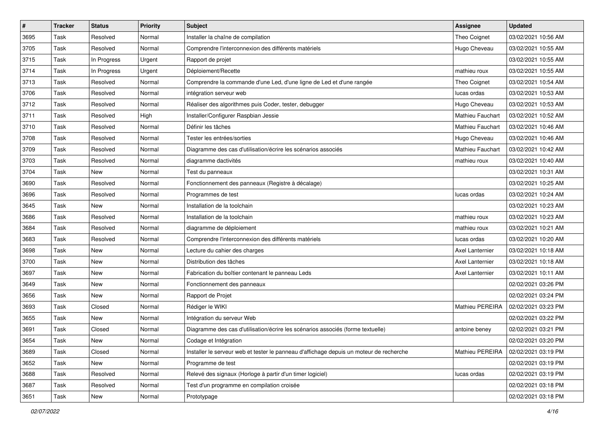| #    | <b>Tracker</b> | <b>Status</b> | <b>Priority</b> | <b>Subject</b>                                                                          | Assignee                | <b>Updated</b>      |
|------|----------------|---------------|-----------------|-----------------------------------------------------------------------------------------|-------------------------|---------------------|
| 3695 | Task           | Resolved      | Normal          | Installer la chaîne de compilation                                                      | Theo Coignet            | 03/02/2021 10:56 AM |
| 3705 | Task           | Resolved      | Normal          | Comprendre l'interconnexion des différents matériels                                    | Hugo Cheveau            | 03/02/2021 10:55 AM |
| 3715 | Task           | In Progress   | Urgent          | Rapport de projet                                                                       |                         | 03/02/2021 10:55 AM |
| 3714 | Task           | In Progress   | Urgent          | Déploiement/Recette                                                                     | mathieu roux            | 03/02/2021 10:55 AM |
| 3713 | Task           | Resolved      | Normal          | Comprendre la commande d'une Led, d'une ligne de Led et d'une rangée                    | Theo Coignet            | 03/02/2021 10:54 AM |
| 3706 | Task           | Resolved      | Normal          | intégration serveur web                                                                 | lucas ordas             | 03/02/2021 10:53 AM |
| 3712 | Task           | Resolved      | Normal          | Réaliser des algorithmes puis Coder, tester, debugger                                   | Hugo Cheveau            | 03/02/2021 10:53 AM |
| 3711 | Task           | Resolved      | High            | Installer/Configurer Raspbian Jessie                                                    | Mathieu Fauchart        | 03/02/2021 10:52 AM |
| 3710 | Task           | Resolved      | Normal          | Définir les tâches                                                                      | <b>Mathieu Fauchart</b> | 03/02/2021 10:46 AM |
| 3708 | Task           | Resolved      | Normal          | Tester les entrées/sorties                                                              | Hugo Cheveau            | 03/02/2021 10:46 AM |
| 3709 | Task           | Resolved      | Normal          | Diagramme des cas d'utilisation/écrire les scénarios associés                           | Mathieu Fauchart        | 03/02/2021 10:42 AM |
| 3703 | Task           | Resolved      | Normal          | diagramme dactivités                                                                    | mathieu roux            | 03/02/2021 10:40 AM |
| 3704 | Task           | <b>New</b>    | Normal          | Test du panneaux                                                                        |                         | 03/02/2021 10:31 AM |
| 3690 | Task           | Resolved      | Normal          | Fonctionnement des panneaux (Registre à décalage)                                       |                         | 03/02/2021 10:25 AM |
| 3696 | Task           | Resolved      | Normal          | Programmes de test                                                                      | lucas ordas             | 03/02/2021 10:24 AM |
| 3645 | Task           | New           | Normal          | Installation de la toolchain                                                            |                         | 03/02/2021 10:23 AM |
| 3686 | Task           | Resolved      | Normal          | Installation de la toolchain                                                            | mathieu roux            | 03/02/2021 10:23 AM |
| 3684 | Task           | Resolved      | Normal          | diagramme de déploiement                                                                | mathieu roux            | 03/02/2021 10:21 AM |
| 3683 | Task           | Resolved      | Normal          | Comprendre l'interconnexion des différents matériels                                    | lucas ordas             | 03/02/2021 10:20 AM |
| 3698 | Task           | New           | Normal          | Lecture du cahier des charges                                                           | Axel Lanternier         | 03/02/2021 10:18 AM |
| 3700 | Task           | New           | Normal          | Distribution des tâches                                                                 | Axel Lanternier         | 03/02/2021 10:18 AM |
| 3697 | Task           | <b>New</b>    | Normal          | Fabrication du boîtier contenant le panneau Leds                                        | Axel Lanternier         | 03/02/2021 10:11 AM |
| 3649 | Task           | <b>New</b>    | Normal          | Fonctionnement des panneaux                                                             |                         | 02/02/2021 03:26 PM |
| 3656 | Task           | New           | Normal          | Rapport de Projet                                                                       |                         | 02/02/2021 03:24 PM |
| 3693 | Task           | Closed        | Normal          | Rédiger le WIKI                                                                         | Mathieu PEREIRA         | 02/02/2021 03:23 PM |
| 3655 | Task           | <b>New</b>    | Normal          | Intégration du serveur Web                                                              |                         | 02/02/2021 03:22 PM |
| 3691 | Task           | Closed        | Normal          | Diagramme des cas d'utilisation/écrire les scénarios associés (forme textuelle)         | antoine beney           | 02/02/2021 03:21 PM |
| 3654 | Task           | New           | Normal          | Codage et Intégration                                                                   |                         | 02/02/2021 03:20 PM |
| 3689 | Task           | Closed        | Normal          | Installer le serveur web et tester le panneau d'affichage depuis un moteur de recherche | Mathieu PEREIRA         | 02/02/2021 03:19 PM |
| 3652 | Task           | New           | Normal          | Programme de test                                                                       |                         | 02/02/2021 03:19 PM |
| 3688 | Task           | Resolved      | Normal          | Relevé des signaux (Horloge à partir d'un timer logiciel)                               | lucas ordas             | 02/02/2021 03:19 PM |
| 3687 | Task           | Resolved      | Normal          | Test d'un programme en compilation croisée                                              |                         | 02/02/2021 03:18 PM |
| 3651 | Task           | New           | Normal          | Prototypage                                                                             |                         | 02/02/2021 03:18 PM |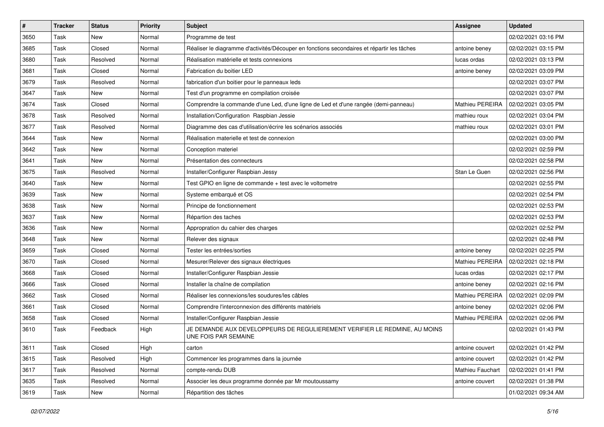| $\vert$ # | <b>Tracker</b> | <b>Status</b> | <b>Priority</b> | <b>Subject</b>                                                                                     | Assignee               | <b>Updated</b>      |
|-----------|----------------|---------------|-----------------|----------------------------------------------------------------------------------------------------|------------------------|---------------------|
| 3650      | Task           | New           | Normal          | Programme de test                                                                                  |                        | 02/02/2021 03:16 PM |
| 3685      | Task           | Closed        | Normal          | Réaliser le diagramme d'activités/Découper en fonctions secondaires et répartir les tâches         | antoine beney          | 02/02/2021 03:15 PM |
| 3680      | Task           | Resolved      | Normal          | Réalisation matérielle et tests connexions                                                         | lucas ordas            | 02/02/2021 03:13 PM |
| 3681      | Task           | Closed        | Normal          | Fabrication du boitier LED                                                                         | antoine beney          | 02/02/2021 03:09 PM |
| 3679      | Task           | Resolved      | Normal          | fabrication d'un boitier pour le panneaux leds                                                     |                        | 02/02/2021 03:07 PM |
| 3647      | Task           | New           | Normal          | Test d'un programme en compilation croisée                                                         |                        | 02/02/2021 03:07 PM |
| 3674      | Task           | Closed        | Normal          | Comprendre la commande d'une Led, d'une ligne de Led et d'une rangée (demi-panneau)                | Mathieu PEREIRA        | 02/02/2021 03:05 PM |
| 3678      | Task           | Resolved      | Normal          | Installation/Configuration Raspbian Jessie                                                         | mathieu roux           | 02/02/2021 03:04 PM |
| 3677      | Task           | Resolved      | Normal          | Diagramme des cas d'utilisation/écrire les scénarios associés                                      | mathieu roux           | 02/02/2021 03:01 PM |
| 3644      | Task           | <b>New</b>    | Normal          | Réalisation materielle et test de connexion                                                        |                        | 02/02/2021 03:00 PM |
| 3642      | Task           | New           | Normal          | Conception materiel                                                                                |                        | 02/02/2021 02:59 PM |
| 3641      | Task           | New           | Normal          | Présentation des connecteurs                                                                       |                        | 02/02/2021 02:58 PM |
| 3675      | Task           | Resolved      | Normal          | Installer/Configurer Raspbian Jessy                                                                | Stan Le Guen           | 02/02/2021 02:56 PM |
| 3640      | Task           | <b>New</b>    | Normal          | Test GPIO en ligne de commande + test avec le voltometre                                           |                        | 02/02/2021 02:55 PM |
| 3639      | Task           | <b>New</b>    | Normal          | Systeme embarqué et OS                                                                             |                        | 02/02/2021 02:54 PM |
| 3638      | Task           | New           | Normal          | Principe de fonctionnement                                                                         |                        | 02/02/2021 02:53 PM |
| 3637      | Task           | New           | Normal          | Répartion des taches                                                                               |                        | 02/02/2021 02:53 PM |
| 3636      | Task           | <b>New</b>    | Normal          | Appropration du cahier des charges                                                                 |                        | 02/02/2021 02:52 PM |
| 3648      | Task           | New           | Normal          | Relever des signaux                                                                                |                        | 02/02/2021 02:48 PM |
| 3659      | Task           | Closed        | Normal          | Tester les entrées/sorties                                                                         | antoine beney          | 02/02/2021 02:25 PM |
| 3670      | Task           | Closed        | Normal          | Mesurer/Relever des signaux électriques                                                            | Mathieu PEREIRA        | 02/02/2021 02:18 PM |
| 3668      | Task           | Closed        | Normal          | Installer/Configurer Raspbian Jessie                                                               | lucas ordas            | 02/02/2021 02:17 PM |
| 3666      | Task           | Closed        | Normal          | Installer la chaîne de compilation                                                                 | antoine beney          | 02/02/2021 02:16 PM |
| 3662      | Task           | Closed        | Normal          | Réaliser les connexions/les soudures/les câbles                                                    | Mathieu PEREIRA        | 02/02/2021 02:09 PM |
| 3661      | Task           | Closed        | Normal          | Comprendre l'interconnexion des différents matériels                                               | antoine beney          | 02/02/2021 02:06 PM |
| 3658      | Task           | Closed        | Normal          | Installer/Configurer Raspbian Jessie                                                               | <b>Mathieu PEREIRA</b> | 02/02/2021 02:06 PM |
| 3610      | Task           | Feedback      | High            | JE DEMANDE AUX DEVELOPPEURS DE REGULIEREMENT VERIFIER LE REDMINE, AU MOINS<br>UNE FOIS PAR SEMAINE |                        | 02/02/2021 01:43 PM |
| 3611      | Task           | Closed        | High            | carton                                                                                             | antoine couvert        | 02/02/2021 01:42 PM |
| 3615      | Task           | Resolved      | High            | Commencer les programmes dans la journée                                                           | antoine couvert        | 02/02/2021 01:42 PM |
| 3617      | Task           | Resolved      | Normal          | compte-rendu DUB                                                                                   | Mathieu Fauchart       | 02/02/2021 01:41 PM |
| 3635      | Task           | Resolved      | Normal          | Associer les deux programme donnée par Mr moutoussamy                                              | antoine couvert        | 02/02/2021 01:38 PM |
| 3619      | Task           | New           | Normal          | Répartition des tâches                                                                             |                        | 01/02/2021 09:34 AM |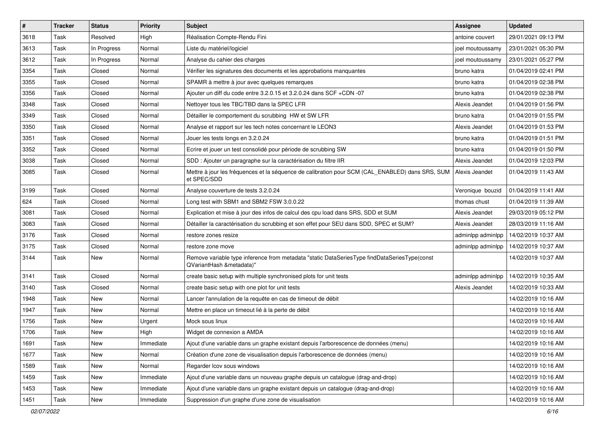| $\vert$ # | <b>Tracker</b> | <b>Status</b> | <b>Priority</b> | Subject                                                                                                                  | <b>Assignee</b>   | <b>Updated</b>      |
|-----------|----------------|---------------|-----------------|--------------------------------------------------------------------------------------------------------------------------|-------------------|---------------------|
| 3618      | Task           | Resolved      | High            | Réalisation Compte-Rendu Fini                                                                                            | antoine couvert   | 29/01/2021 09:13 PM |
| 3613      | Task           | In Progress   | Normal          | Liste du matériel/logiciel                                                                                               | joel moutoussamy  | 23/01/2021 05:30 PM |
| 3612      | Task           | In Progress   | Normal          | Analyse du cahier des charges                                                                                            | joel moutoussamy  | 23/01/2021 05:27 PM |
| 3354      | Task           | Closed        | Normal          | Vérifier les signatures des documents et les approbations manquantes                                                     | bruno katra       | 01/04/2019 02:41 PM |
| 3355      | Task           | Closed        | Normal          | SPAMR à mettre à jour avec quelques remarques                                                                            | bruno katra       | 01/04/2019 02:38 PM |
| 3356      | Task           | Closed        | Normal          | Ajouter un diff du code entre 3.2.0.15 et 3.2.0.24 dans SCF +CDN -07                                                     | bruno katra       | 01/04/2019 02:38 PM |
| 3348      | Task           | Closed        | Normal          | Nettoyer tous les TBC/TBD dans la SPEC LFR                                                                               | Alexis Jeandet    | 01/04/2019 01:56 PM |
| 3349      | Task           | Closed        | Normal          | Détailler le comportement du scrubbing HW et SW LFR                                                                      | bruno katra       | 01/04/2019 01:55 PM |
| 3350      | Task           | Closed        | Normal          | Analyse et rapport sur les tech notes concernant le LEON3                                                                | Alexis Jeandet    | 01/04/2019 01:53 PM |
| 3351      | Task           | Closed        | Normal          | Jouer les tests longs en 3.2.0.24                                                                                        | bruno katra       | 01/04/2019 01:51 PM |
| 3352      | Task           | Closed        | Normal          | Ecrire et jouer un test consolidé pour période de scrubbing SW                                                           | bruno katra       | 01/04/2019 01:50 PM |
| 3038      | Task           | Closed        | Normal          | SDD : Ajouter un paragraphe sur la caractérisation du filtre IIR                                                         | Alexis Jeandet    | 01/04/2019 12:03 PM |
| 3085      | Task           | Closed        | Normal          | Mettre à jour les fréquences et la séquence de calibration pour SCM (CAL ENABLED) dans SRS, SUM<br>et SPEC/SDD           | Alexis Jeandet    | 01/04/2019 11:43 AM |
| 3199      | Task           | Closed        | Normal          | Analyse couverture de tests 3.2.0.24                                                                                     | Veronique bouzid  | 01/04/2019 11:41 AM |
| 624       | Task           | Closed        | Normal          | Long test with SBM1 and SBM2 FSW 3.0.0.22                                                                                | thomas chust      | 01/04/2019 11:39 AM |
| 3081      | Task           | Closed        | Normal          | Explication et mise à jour des infos de calcul des cpu load dans SRS, SDD et SUM                                         | Alexis Jeandet    | 29/03/2019 05:12 PM |
| 3083      | Task           | Closed        | Normal          | Détailler la caractérisation du scrubbing et son effet pour SEU dans SDD, SPEC et SUM?                                   | Alexis Jeandet    | 28/03/2019 11:16 AM |
| 3176      | Task           | Closed        | Normal          | restore zones resize                                                                                                     | adminlpp adminlpp | 14/02/2019 10:37 AM |
| 3175      | Task           | Closed        | Normal          | restore zone move                                                                                                        | adminlpp adminlpp | 14/02/2019 10:37 AM |
| 3144      | Task           | <b>New</b>    | Normal          | Remove variable type inference from metadata "static DataSeriesType findDataSeriesType(const<br>QVariantHash &metadata)" |                   | 14/02/2019 10:37 AM |
| 3141      | Task           | Closed        | Normal          | create basic setup with multiple synchronised plots for unit tests                                                       | adminlpp adminlpp | 14/02/2019 10:35 AM |
| 3140      | Task           | Closed        | Normal          | create basic setup with one plot for unit tests                                                                          | Alexis Jeandet    | 14/02/2019 10:33 AM |
| 1948      | Task           | New           | Normal          | Lancer l'annulation de la requête en cas de timeout de débit                                                             |                   | 14/02/2019 10:16 AM |
| 1947      | Task           | <b>New</b>    | Normal          | Mettre en place un timeout lié à la perte de débit                                                                       |                   | 14/02/2019 10:16 AM |
| 1756      | Task           | New           | Urgent          | Mock sous linux                                                                                                          |                   | 14/02/2019 10:16 AM |
| 1706      | Task           | New           | High            | Widget de connexion a AMDA                                                                                               |                   | 14/02/2019 10:16 AM |
| 1691      | Task           | New           | Immediate       | Ajout d'une variable dans un graphe existant depuis l'arborescence de données (menu)                                     |                   | 14/02/2019 10:16 AM |
| 1677      | Task           | New           | Normal          | Création d'une zone de visualisation depuis l'arborescence de données (menu)                                             |                   | 14/02/2019 10:16 AM |
| 1589      | Task           | New           | Normal          | Regarder Icov sous windows                                                                                               |                   | 14/02/2019 10:16 AM |
| 1459      | Task           | New           | Immediate       | Ajout d'une variable dans un nouveau graphe depuis un catalogue (drag-and-drop)                                          |                   | 14/02/2019 10:16 AM |
| 1453      | Task           | New           | Immediate       | Ajout d'une variable dans un graphe existant depuis un catalogue (drag-and-drop)                                         |                   | 14/02/2019 10:16 AM |
| 1451      | Task           | New           | Immediate       | Suppression d'un graphe d'une zone de visualisation                                                                      |                   | 14/02/2019 10:16 AM |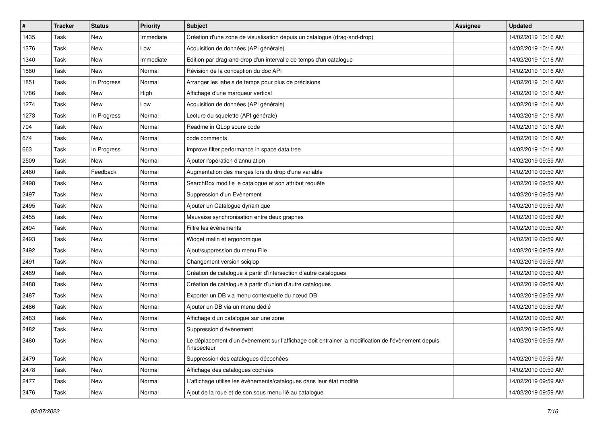| #    | <b>Tracker</b> | <b>Status</b> | Priority  | <b>Subject</b>                                                                                                     | Assignee | <b>Updated</b>      |
|------|----------------|---------------|-----------|--------------------------------------------------------------------------------------------------------------------|----------|---------------------|
| 1435 | Task           | New           | Immediate | Création d'une zone de visualisation depuis un catalogue (drag-and-drop)                                           |          | 14/02/2019 10:16 AM |
| 1376 | Task           | New           | Low       | Acquisition de données (API générale)                                                                              |          | 14/02/2019 10:16 AM |
| 1340 | Task           | New           | Immediate | Edition par drag-and-drop d'un intervalle de temps d'un catalogue                                                  |          | 14/02/2019 10:16 AM |
| 1880 | Task           | New           | Normal    | Révision de la conception du doc API                                                                               |          | 14/02/2019 10:16 AM |
| 1851 | Task           | In Progress   | Normal    | Arranger les labels de temps pour plus de précisions                                                               |          | 14/02/2019 10:16 AM |
| 1786 | Task           | New           | High      | Affichage d'une marqueur vertical                                                                                  |          | 14/02/2019 10:16 AM |
| 1274 | Task           | New           | Low       | Acquisition de données (API générale)                                                                              |          | 14/02/2019 10:16 AM |
| 1273 | Task           | In Progress   | Normal    | Lecture du squelette (API générale)                                                                                |          | 14/02/2019 10:16 AM |
| 704  | Task           | New           | Normal    | Readme in QLop soure code                                                                                          |          | 14/02/2019 10:16 AM |
| 674  | Task           | New           | Normal    | code comments                                                                                                      |          | 14/02/2019 10:16 AM |
| 663  | Task           | In Progress   | Normal    | Improve filter performance in space data tree                                                                      |          | 14/02/2019 10:16 AM |
| 2509 | Task           | New           | Normal    | Ajouter l'opération d'annulation                                                                                   |          | 14/02/2019 09:59 AM |
| 2460 | Task           | Feedback      | Normal    | Augmentation des marges lors du drop d'une variable                                                                |          | 14/02/2019 09:59 AM |
| 2498 | Task           | New           | Normal    | SearchBox modifie le catalogue et son attribut requête                                                             |          | 14/02/2019 09:59 AM |
| 2497 | Task           | New           | Normal    | Suppression d'un Evènement                                                                                         |          | 14/02/2019 09:59 AM |
| 2495 | Task           | New           | Normal    | Ajouter un Catalogue dynamique                                                                                     |          | 14/02/2019 09:59 AM |
| 2455 | Task           | New           | Normal    | Mauvaise synchronisation entre deux graphes                                                                        |          | 14/02/2019 09:59 AM |
| 2494 | Task           | New           | Normal    | Filtre les évènements                                                                                              |          | 14/02/2019 09:59 AM |
| 2493 | Task           | New           | Normal    | Widget malin et ergonomique                                                                                        |          | 14/02/2019 09:59 AM |
| 2492 | Task           | New           | Normal    | Ajout/suppression du menu File                                                                                     |          | 14/02/2019 09:59 AM |
| 2491 | Task           | New           | Normal    | Changement version sciglop                                                                                         |          | 14/02/2019 09:59 AM |
| 2489 | Task           | New           | Normal    | Création de catalogue à partir d'intersection d'autre catalogues                                                   |          | 14/02/2019 09:59 AM |
| 2488 | Task           | New           | Normal    | Création de catalogue à partir d'union d'autre catalogues                                                          |          | 14/02/2019 09:59 AM |
| 2487 | Task           | New           | Normal    | Exporter un DB via menu contextuelle du nœud DB                                                                    |          | 14/02/2019 09:59 AM |
| 2486 | Task           | New           | Normal    | Ajouter un DB via un menu dédié                                                                                    |          | 14/02/2019 09:59 AM |
| 2483 | Task           | New           | Normal    | Affichage d'un catalogue sur une zone                                                                              |          | 14/02/2019 09:59 AM |
| 2482 | Task           | New           | Normal    | Suppression d'évènement                                                                                            |          | 14/02/2019 09:59 AM |
| 2480 | Task           | New           | Normal    | Le déplacement d'un évènement sur l'affichage doit entrainer la modification de l'évènement depuis<br>l'inspecteur |          | 14/02/2019 09:59 AM |
| 2479 | Task           | New           | Normal    | Suppression des catalogues décochées                                                                               |          | 14/02/2019 09:59 AM |
| 2478 | Task           | New           | Normal    | Affichage des catalogues cochées                                                                                   |          | 14/02/2019 09:59 AM |
| 2477 | Task           | New           | Normal    | L'affichage utilise les évènements/catalogues dans leur état modifié                                               |          | 14/02/2019 09:59 AM |
| 2476 | Task           | New           | Normal    | Ajout de la roue et de son sous menu lié au catalogue                                                              |          | 14/02/2019 09:59 AM |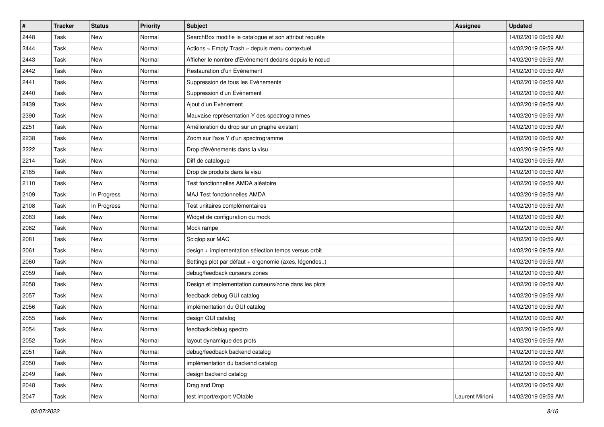| $\vert$ # | <b>Tracker</b> | <b>Status</b> | <b>Priority</b> | <b>Subject</b>                                         | Assignee        | <b>Updated</b>      |
|-----------|----------------|---------------|-----------------|--------------------------------------------------------|-----------------|---------------------|
| 2448      | Task           | New           | Normal          | SearchBox modifie le catalogue et son attribut requête |                 | 14/02/2019 09:59 AM |
| 2444      | Task           | New           | Normal          | Actions « Empty Trash » depuis menu contextuel         |                 | 14/02/2019 09:59 AM |
| 2443      | Task           | New           | Normal          | Afficher le nombre d'Evènement dedans depuis le nœud   |                 | 14/02/2019 09:59 AM |
| 2442      | Task           | New           | Normal          | Restauration d'un Evènement                            |                 | 14/02/2019 09:59 AM |
| 2441      | Task           | New           | Normal          | Suppression de tous les Evènements                     |                 | 14/02/2019 09:59 AM |
| 2440      | Task           | New           | Normal          | Suppression d'un Evènement                             |                 | 14/02/2019 09:59 AM |
| 2439      | Task           | New           | Normal          | Ajout d'un Evènement                                   |                 | 14/02/2019 09:59 AM |
| 2390      | Task           | New           | Normal          | Mauvaise représentation Y des spectrogrammes           |                 | 14/02/2019 09:59 AM |
| 2251      | Task           | New           | Normal          | Amélioration du drop sur un graphe existant            |                 | 14/02/2019 09:59 AM |
| 2238      | Task           | New           | Normal          | Zoom sur l'axe Y d'un spectrogramme                    |                 | 14/02/2019 09:59 AM |
| 2222      | Task           | New           | Normal          | Drop d'évènements dans la visu                         |                 | 14/02/2019 09:59 AM |
| 2214      | <b>Task</b>    | New           | Normal          | Diff de catalogue                                      |                 | 14/02/2019 09:59 AM |
| 2165      | <b>Task</b>    | New           | Normal          | Drop de produits dans la visu                          |                 | 14/02/2019 09:59 AM |
| 2110      | <b>Task</b>    | New           | Normal          | Test fonctionnelles AMDA aléatoire                     |                 | 14/02/2019 09:59 AM |
| 2109      | Task           | In Progress   | Normal          | MAJ Test fonctionnelles AMDA                           |                 | 14/02/2019 09:59 AM |
| 2108      | <b>Task</b>    | In Progress   | Normal          | Test unitaires complémentaires                         |                 | 14/02/2019 09:59 AM |
| 2083      | <b>Task</b>    | New           | Normal          | Widget de configuration du mock                        |                 | 14/02/2019 09:59 AM |
| 2082      | <b>Task</b>    | New           | Normal          | Mock rampe                                             |                 | 14/02/2019 09:59 AM |
| 2081      | <b>Task</b>    | New           | Normal          | Sciglop sur MAC                                        |                 | 14/02/2019 09:59 AM |
| 2061      | Task           | New           | Normal          | design + implementation sélection temps versus orbit   |                 | 14/02/2019 09:59 AM |
| 2060      | <b>Task</b>    | New           | Normal          | Settings plot par défaut + ergonomie (axes, légendes)  |                 | 14/02/2019 09:59 AM |
| 2059      | Task           | <b>New</b>    | Normal          | debug/feedback curseurs zones                          |                 | 14/02/2019 09:59 AM |
| 2058      | <b>Task</b>    | New           | Normal          | Design et implementation curseurs/zone dans les plots  |                 | 14/02/2019 09:59 AM |
| 2057      | Task           | New           | Normal          | feedback debug GUI catalog                             |                 | 14/02/2019 09:59 AM |
| 2056      | Task           | New           | Normal          | implémentation du GUI catalog                          |                 | 14/02/2019 09:59 AM |
| 2055      | <b>Task</b>    | New           | Normal          | design GUI catalog                                     |                 | 14/02/2019 09:59 AM |
| 2054      | Task           | New           | Normal          | feedback/debug spectro                                 |                 | 14/02/2019 09:59 AM |
| 2052      | Task           | New           | Normal          | layout dynamique des plots                             |                 | 14/02/2019 09:59 AM |
| 2051      | Task           | New           | Normal          | debug/feedback backend catalog                         |                 | 14/02/2019 09:59 AM |
| 2050      | Task           | New           | Normal          | implémentation du backend catalog                      |                 | 14/02/2019 09:59 AM |
| 2049      | Task           | New           | Normal          | design backend catalog                                 |                 | 14/02/2019 09:59 AM |
| 2048      | Task           | New           | Normal          | Drag and Drop                                          |                 | 14/02/2019 09:59 AM |
| 2047      | Task           | New           | Normal          | test import/export VOtable                             | Laurent Mirioni | 14/02/2019 09:59 AM |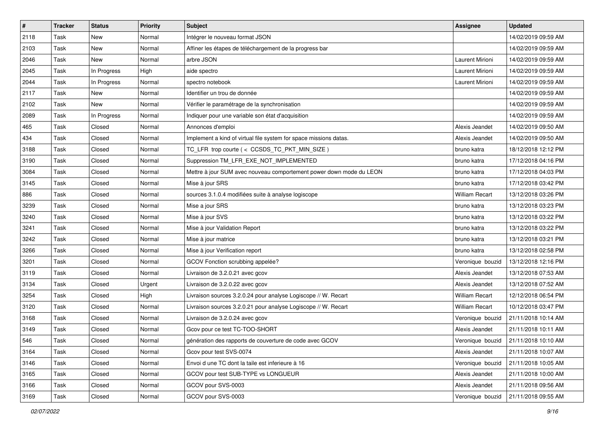| $\vert$ # | <b>Tracker</b> | <b>Status</b> | <b>Priority</b> | <b>Subject</b>                                                      | Assignee              | <b>Updated</b>      |
|-----------|----------------|---------------|-----------------|---------------------------------------------------------------------|-----------------------|---------------------|
| 2118      | Task           | New           | Normal          | Intégrer le nouveau format JSON                                     |                       | 14/02/2019 09:59 AM |
| 2103      | Task           | <b>New</b>    | Normal          | Affiner les étapes de téléchargement de la progress bar             |                       | 14/02/2019 09:59 AM |
| 2046      | Task           | New           | Normal          | arbre JSON                                                          | Laurent Mirioni       | 14/02/2019 09:59 AM |
| 2045      | Task           | In Progress   | High            | aide spectro                                                        | Laurent Mirioni       | 14/02/2019 09:59 AM |
| 2044      | Task           | In Progress   | Normal          | spectro notebook                                                    | Laurent Mirioni       | 14/02/2019 09:59 AM |
| 2117      | Task           | New           | Normal          | Identifier un trou de donnée                                        |                       | 14/02/2019 09:59 AM |
| 2102      | Task           | <b>New</b>    | Normal          | Vérifier le paramétrage de la synchronisation                       |                       | 14/02/2019 09:59 AM |
| 2089      | Task           | In Progress   | Normal          | Indiquer pour une variable son état d'acquisition                   |                       | 14/02/2019 09:59 AM |
| 465       | Task           | Closed        | Normal          | Annonces d'emploi                                                   | Alexis Jeandet        | 14/02/2019 09:50 AM |
| 434       | Task           | Closed        | Normal          | Implement a kind of virtual file system for space missions datas.   | Alexis Jeandet        | 14/02/2019 09:50 AM |
| 3188      | Task           | Closed        | Normal          | TC LFR trop courte (< CCSDS TC PKT MIN SIZE)                        | bruno katra           | 18/12/2018 12:12 PM |
| 3190      | Task           | Closed        | Normal          | Suppression TM_LFR_EXE_NOT_IMPLEMENTED                              | bruno katra           | 17/12/2018 04:16 PM |
| 3084      | Task           | Closed        | Normal          | Mettre à jour SUM avec nouveau comportement power down mode du LEON | bruno katra           | 17/12/2018 04:03 PM |
| 3145      | Task           | Closed        | Normal          | Mise à jour SRS                                                     | bruno katra           | 17/12/2018 03:42 PM |
| 886       | Task           | Closed        | Normal          | sources 3.1.0.4 modifiées suite à analyse logiscope                 | <b>William Recart</b> | 13/12/2018 03:26 PM |
| 3239      | Task           | Closed        | Normal          | Mise a jour SRS                                                     | bruno katra           | 13/12/2018 03:23 PM |
| 3240      | Task           | Closed        | Normal          | Mise à jour SVS                                                     | bruno katra           | 13/12/2018 03:22 PM |
| 3241      | Task           | Closed        | Normal          | Mise à jour Validation Report                                       | bruno katra           | 13/12/2018 03:22 PM |
| 3242      | Task           | Closed        | Normal          | Mise à jour matrice                                                 | bruno katra           | 13/12/2018 03:21 PM |
| 3266      | Task           | Closed        | Normal          | Mise à jour Verification report                                     | bruno katra           | 13/12/2018 02:58 PM |
| 3201      | Task           | Closed        | Normal          | GCOV Fonction scrubbing appelée?                                    | Veronique bouzid      | 13/12/2018 12:16 PM |
| 3119      | Task           | Closed        | Normal          | Livraison de 3.2.0.21 avec gcov                                     | Alexis Jeandet        | 13/12/2018 07:53 AM |
| 3134      | Task           | Closed        | Urgent          | Livraison de 3.2.0.22 avec gcov                                     | Alexis Jeandet        | 13/12/2018 07:52 AM |
| 3254      | Task           | Closed        | High            | Livraison sources 3.2.0.24 pour analyse Logiscope // W. Recart      | <b>William Recart</b> | 12/12/2018 06:54 PM |
| 3120      | Task           | Closed        | Normal          | Livraison sources 3.2.0.21 pour analyse Logiscope // W. Recart      | <b>William Recart</b> | 10/12/2018 03:47 PM |
| 3168      | Task           | Closed        | Normal          | Livraison de 3.2.0.24 avec gcov                                     | Veronique bouzid      | 21/11/2018 10:14 AM |
| 3149      | Task           | Closed        | Normal          | Gcov pour ce test TC-TOO-SHORT                                      | Alexis Jeandet        | 21/11/2018 10:11 AM |
| 546       | Task           | Closed        | Normal          | génération des rapports de couverture de code avec GCOV             | Veronique bouzid      | 21/11/2018 10:10 AM |
| 3164      | Task           | Closed        | Normal          | Gcov pour test SVS-0074                                             | Alexis Jeandet        | 21/11/2018 10:07 AM |
| 3146      | Task           | Closed        | Normal          | Envoi d une TC dont la taile est inferieure à 16                    | Veronique bouzid      | 21/11/2018 10:05 AM |
| 3165      | Task           | Closed        | Normal          | GCOV pour test SUB-TYPE vs LONGUEUR                                 | Alexis Jeandet        | 21/11/2018 10:00 AM |
| 3166      | Task           | Closed        | Normal          | GCOV pour SVS-0003                                                  | Alexis Jeandet        | 21/11/2018 09:56 AM |
| 3169      | Task           | Closed        | Normal          | GCOV pour SVS-0003                                                  | Veronique bouzid      | 21/11/2018 09:55 AM |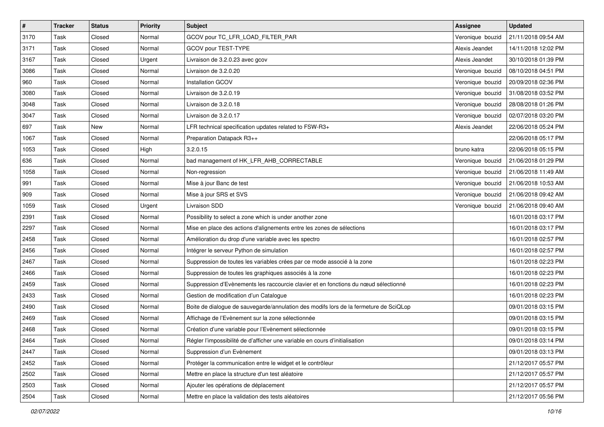| $\sharp$ | <b>Tracker</b> | <b>Status</b> | <b>Priority</b> | Subject                                                                               | <b>Assignee</b>  | <b>Updated</b>      |
|----------|----------------|---------------|-----------------|---------------------------------------------------------------------------------------|------------------|---------------------|
| 3170     | Task           | Closed        | Normal          | GCOV pour TC LFR LOAD FILTER PAR                                                      | Veronique bouzid | 21/11/2018 09:54 AM |
| 3171     | Task           | Closed        | Normal          | GCOV pour TEST-TYPE                                                                   | Alexis Jeandet   | 14/11/2018 12:02 PM |
| 3167     | Task           | Closed        | Urgent          | Livraison de 3.2.0.23 avec gcov                                                       | Alexis Jeandet   | 30/10/2018 01:39 PM |
| 3086     | Task           | Closed        | Normal          | Livraison de 3.2.0.20                                                                 | Veronique bouzid | 08/10/2018 04:51 PM |
| 960      | Task           | Closed        | Normal          | <b>Installation GCOV</b>                                                              | Veronique bouzid | 20/09/2018 02:36 PM |
| 3080     | Task           | Closed        | Normal          | Livraison de 3.2.0.19                                                                 | Veronique bouzid | 31/08/2018 03:52 PM |
| 3048     | Task           | Closed        | Normal          | Livraison de 3.2.0.18                                                                 | Veronique bouzid | 28/08/2018 01:26 PM |
| 3047     | Task           | Closed        | Normal          | Livraison de 3.2.0.17                                                                 | Veronique bouzid | 02/07/2018 03:20 PM |
| 697      | Task           | New           | Normal          | LFR technical specification updates related to FSW-R3+                                | Alexis Jeandet   | 22/06/2018 05:24 PM |
| 1067     | Task           | Closed        | Normal          | Preparation Datapack R3++                                                             |                  | 22/06/2018 05:17 PM |
| 1053     | Task           | Closed        | High            | 3.2.0.15                                                                              | bruno katra      | 22/06/2018 05:15 PM |
| 636      | Task           | Closed        | Normal          | bad management of HK_LFR_AHB_CORRECTABLE                                              | Veronique bouzid | 21/06/2018 01:29 PM |
| 1058     | Task           | Closed        | Normal          | Non-regression                                                                        | Veronique bouzid | 21/06/2018 11:49 AM |
| 991      | Task           | Closed        | Normal          | Mise à jour Banc de test                                                              | Veronique bouzid | 21/06/2018 10:53 AM |
| 909      | Task           | Closed        | Normal          | Mise à jour SRS et SVS                                                                | Veronique bouzid | 21/06/2018 09:42 AM |
| 1059     | Task           | Closed        | Urgent          | Livraison SDD                                                                         | Veronique bouzid | 21/06/2018 09:40 AM |
| 2391     | Task           | Closed        | Normal          | Possibility to select a zone which is under another zone                              |                  | 16/01/2018 03:17 PM |
| 2297     | Task           | Closed        | Normal          | Mise en place des actions d'alignements entre les zones de sélections                 |                  | 16/01/2018 03:17 PM |
| 2458     | Task           | Closed        | Normal          | Amélioration du drop d'une variable avec les spectro                                  |                  | 16/01/2018 02:57 PM |
| 2456     | Task           | Closed        | Normal          | Intégrer le serveur Python de simulation                                              |                  | 16/01/2018 02:57 PM |
| 2467     | Task           | Closed        | Normal          | Suppression de toutes les variables crées par ce mode associé à la zone               |                  | 16/01/2018 02:23 PM |
| 2466     | Task           | Closed        | Normal          | Suppression de toutes les graphiques associés à la zone                               |                  | 16/01/2018 02:23 PM |
| 2459     | Task           | Closed        | Normal          | Suppression d'Evènements les raccourcie clavier et en fonctions du nœud sélectionné   |                  | 16/01/2018 02:23 PM |
| 2433     | Task           | Closed        | Normal          | Gestion de modification d'un Catalogue                                                |                  | 16/01/2018 02:23 PM |
| 2490     | Task           | Closed        | Normal          | Boite de dialogue de sauvegarde/annulation des modifs lors de la fermeture de SciQLop |                  | 09/01/2018 03:15 PM |
| 2469     | Task           | Closed        | Normal          | Affichage de l'Evènement sur la zone sélectionnée                                     |                  | 09/01/2018 03:15 PM |
| 2468     | Task           | Closed        | Normal          | Création d'une variable pour l'Evènement sélectionnée                                 |                  | 09/01/2018 03:15 PM |
| 2464     | Task           | Closed        | Normal          | Régler l'impossibilité de d'afficher une variable en cours d'initialisation           |                  | 09/01/2018 03:14 PM |
| 2447     | Task           | Closed        | Normal          | Suppression d'un Evènement                                                            |                  | 09/01/2018 03:13 PM |
| 2452     | Task           | Closed        | Normal          | Protéger la communication entre le widget et le contrôleur                            |                  | 21/12/2017 05:57 PM |
| 2502     | Task           | Closed        | Normal          | Mettre en place la structure d'un test aléatoire                                      |                  | 21/12/2017 05:57 PM |
| 2503     | Task           | Closed        | Normal          | Ajouter les opérations de déplacement                                                 |                  | 21/12/2017 05:57 PM |
| 2504     | Task           | Closed        | Normal          | Mettre en place la validation des tests aléatoires                                    |                  | 21/12/2017 05:56 PM |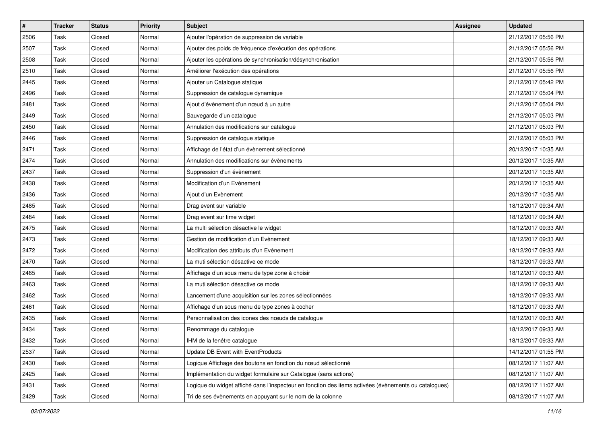| $\pmb{\#}$ | <b>Tracker</b> | <b>Status</b> | <b>Priority</b> | Subject                                                                                               | <b>Assignee</b> | <b>Updated</b>      |
|------------|----------------|---------------|-----------------|-------------------------------------------------------------------------------------------------------|-----------------|---------------------|
| 2506       | Task           | Closed        | Normal          | Ajouter l'opération de suppression de variable                                                        |                 | 21/12/2017 05:56 PM |
| 2507       | Task           | Closed        | Normal          | Ajouter des poids de fréquence d'exécution des opérations                                             |                 | 21/12/2017 05:56 PM |
| 2508       | Task           | Closed        | Normal          | Ajouter les opérations de synchronisation/désynchronisation                                           |                 | 21/12/2017 05:56 PM |
| 2510       | Task           | Closed        | Normal          | Améliorer l'exécution des opérations                                                                  |                 | 21/12/2017 05:56 PM |
| 2445       | Task           | Closed        | Normal          | Ajouter un Catalogue statique                                                                         |                 | 21/12/2017 05:42 PM |
| 2496       | Task           | Closed        | Normal          | Suppression de catalogue dynamique                                                                    |                 | 21/12/2017 05:04 PM |
| 2481       | Task           | Closed        | Normal          | Ajout d'évènement d'un nœud à un autre                                                                |                 | 21/12/2017 05:04 PM |
| 2449       | Task           | Closed        | Normal          | Sauvegarde d'un catalogue                                                                             |                 | 21/12/2017 05:03 PM |
| 2450       | Task           | Closed        | Normal          | Annulation des modifications sur catalogue                                                            |                 | 21/12/2017 05:03 PM |
| 2446       | Task           | Closed        | Normal          | Suppression de catalogue statique                                                                     |                 | 21/12/2017 05:03 PM |
| 2471       | Task           | Closed        | Normal          | Affichage de l'état d'un évènement sélectionné                                                        |                 | 20/12/2017 10:35 AM |
| 2474       | Task           | Closed        | Normal          | Annulation des modifications sur évènements                                                           |                 | 20/12/2017 10:35 AM |
| 2437       | Task           | Closed        | Normal          | Suppression d'un évènement                                                                            |                 | 20/12/2017 10:35 AM |
| 2438       | Task           | Closed        | Normal          | Modification d'un Evènement                                                                           |                 | 20/12/2017 10:35 AM |
| 2436       | Task           | Closed        | Normal          | Ajout d'un Evènement                                                                                  |                 | 20/12/2017 10:35 AM |
| 2485       | Task           | Closed        | Normal          | Drag event sur variable                                                                               |                 | 18/12/2017 09:34 AM |
| 2484       | Task           | Closed        | Normal          | Drag event sur time widget                                                                            |                 | 18/12/2017 09:34 AM |
| 2475       | Task           | Closed        | Normal          | La multi sélection désactive le widget                                                                |                 | 18/12/2017 09:33 AM |
| 2473       | Task           | Closed        | Normal          | Gestion de modification d'un Evènement                                                                |                 | 18/12/2017 09:33 AM |
| 2472       | Task           | Closed        | Normal          | Modification des attributs d'un Evènement                                                             |                 | 18/12/2017 09:33 AM |
| 2470       | Task           | Closed        | Normal          | La muti sélection désactive ce mode                                                                   |                 | 18/12/2017 09:33 AM |
| 2465       | Task           | Closed        | Normal          | Affichage d'un sous menu de type zone à choisir                                                       |                 | 18/12/2017 09:33 AM |
| 2463       | Task           | Closed        | Normal          | La muti sélection désactive ce mode                                                                   |                 | 18/12/2017 09:33 AM |
| 2462       | Task           | Closed        | Normal          | Lancement d'une acquisition sur les zones sélectionnées                                               |                 | 18/12/2017 09:33 AM |
| 2461       | Task           | Closed        | Normal          | Affichage d'un sous menu de type zones à cocher                                                       |                 | 18/12/2017 09:33 AM |
| 2435       | Task           | Closed        | Normal          | Personnalisation des icones des nœuds de catalogue                                                    |                 | 18/12/2017 09:33 AM |
| 2434       | Task           | Closed        | Normal          | Renommage du catalogue                                                                                |                 | 18/12/2017 09:33 AM |
| 2432       | Task           | Closed        | Normal          | IHM de la fenêtre catalogue                                                                           |                 | 18/12/2017 09:33 AM |
| 2537       | Task           | Closed        | Normal          | Update DB Event with EventProducts                                                                    |                 | 14/12/2017 01:55 PM |
| 2430       | Task           | Closed        | Normal          | Logique Affichage des boutons en fonction du nœud sélectionné                                         |                 | 08/12/2017 11:07 AM |
| 2425       | Task           | Closed        | Normal          | Implémentation du widget formulaire sur Catalogue (sans actions)                                      |                 | 08/12/2017 11:07 AM |
| 2431       | Task           | Closed        | Normal          | Logique du widget affiché dans l'inspecteur en fonction des items activées (évènements ou catalogues) |                 | 08/12/2017 11:07 AM |
| 2429       | Task           | Closed        | Normal          | Tri de ses évènements en appuyant sur le nom de la colonne                                            |                 | 08/12/2017 11:07 AM |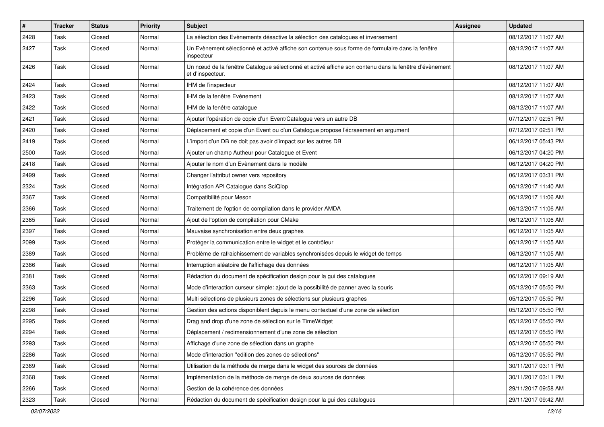| $\vert$ # | <b>Tracker</b> | <b>Status</b> | <b>Priority</b> | <b>Subject</b>                                                                                                            | Assignee | <b>Updated</b>      |
|-----------|----------------|---------------|-----------------|---------------------------------------------------------------------------------------------------------------------------|----------|---------------------|
| 2428      | Task           | Closed        | Normal          | La sélection des Evènements désactive la sélection des catalogues et inversement                                          |          | 08/12/2017 11:07 AM |
| 2427      | Task           | Closed        | Normal          | Un Evènement sélectionné et activé affiche son contenue sous forme de formulaire dans la fenêtre<br>inspecteur            |          | 08/12/2017 11:07 AM |
| 2426      | Task           | Closed        | Normal          | Un nœud de la fenêtre Catalogue sélectionné et activé affiche son contenu dans la fenêtre d'évènement<br>et d'inspecteur. |          | 08/12/2017 11:07 AM |
| 2424      | Task           | Closed        | Normal          | IHM de l'inspecteur                                                                                                       |          | 08/12/2017 11:07 AM |
| 2423      | Task           | Closed        | Normal          | IHM de la fenêtre Evènement                                                                                               |          | 08/12/2017 11:07 AM |
| 2422      | Task           | Closed        | Normal          | IHM de la fenêtre catalogue                                                                                               |          | 08/12/2017 11:07 AM |
| 2421      | Task           | Closed        | Normal          | Ajouter l'opération de copie d'un Event/Catalogue vers un autre DB                                                        |          | 07/12/2017 02:51 PM |
| 2420      | Task           | Closed        | Normal          | Déplacement et copie d'un Event ou d'un Catalogue propose l'écrasement en argument                                        |          | 07/12/2017 02:51 PM |
| 2419      | Task           | Closed        | Normal          | L'import d'un DB ne doit pas avoir d'impact sur les autres DB                                                             |          | 06/12/2017 05:43 PM |
| 2500      | Task           | Closed        | Normal          | Ajouter un champ Autheur pour Catalogue et Event                                                                          |          | 06/12/2017 04:20 PM |
| 2418      | Task           | Closed        | Normal          | Ajouter le nom d'un Evènement dans le modèle                                                                              |          | 06/12/2017 04:20 PM |
| 2499      | Task           | Closed        | Normal          | Changer l'attribut owner vers repository                                                                                  |          | 06/12/2017 03:31 PM |
| 2324      | Task           | Closed        | Normal          | Intégration API Catalogue dans SciQlop                                                                                    |          | 06/12/2017 11:40 AM |
| 2367      | Task           | Closed        | Normal          | Compatibilité pour Meson                                                                                                  |          | 06/12/2017 11:06 AM |
| 2366      | Task           | Closed        | Normal          | Traitement de l'option de compilation dans le provider AMDA                                                               |          | 06/12/2017 11:06 AM |
| 2365      | Task           | Closed        | Normal          | Ajout de l'option de compilation pour CMake                                                                               |          | 06/12/2017 11:06 AM |
| 2397      | Task           | Closed        | Normal          | Mauvaise synchronisation entre deux graphes                                                                               |          | 06/12/2017 11:05 AM |
| 2099      | Task           | Closed        | Normal          | Protéger la communication entre le widget et le contrôleur                                                                |          | 06/12/2017 11:05 AM |
| 2389      | Task           | Closed        | Normal          | Problème de rafraichissement de variables synchronisées depuis le widget de temps                                         |          | 06/12/2017 11:05 AM |
| 2386      | Task           | Closed        | Normal          | Interruption aléatoire de l'affichage des données                                                                         |          | 06/12/2017 11:05 AM |
| 2381      | Task           | Closed        | Normal          | Rédaction du document de spécification design pour la gui des catalogues                                                  |          | 06/12/2017 09:19 AM |
| 2363      | Task           | Closed        | Normal          | Mode d'interaction curseur simple: ajout de la possibilité de panner avec la souris                                       |          | 05/12/2017 05:50 PM |
| 2296      | Task           | Closed        | Normal          | Multi sélections de plusieurs zones de sélections sur plusieurs graphes                                                   |          | 05/12/2017 05:50 PM |
| 2298      | Task           | Closed        | Normal          | Gestion des actions disponiblent depuis le menu contextuel d'une zone de sélection                                        |          | 05/12/2017 05:50 PM |
| 2295      | Task           | Closed        | Normal          | Drag and drop d'une zone de sélection sur le TimeWidget                                                                   |          | 05/12/2017 05:50 PM |
| 2294      | Task           | Closed        | Normal          | Déplacement / redimensionnement d'une zone de sélection                                                                   |          | 05/12/2017 05:50 PM |
| 2293      | Task           | Closed        | Normal          | Affichage d'une zone de sélection dans un graphe                                                                          |          | 05/12/2017 05:50 PM |
| 2286      | Task           | Closed        | Normal          | Mode d'interaction "edition des zones de sélections"                                                                      |          | 05/12/2017 05:50 PM |
| 2369      | Task           | Closed        | Normal          | Utilisation de la méthode de merge dans le widget des sources de données                                                  |          | 30/11/2017 03:11 PM |
| 2368      | Task           | Closed        | Normal          | Implémentation de la méthode de merge de deux sources de données                                                          |          | 30/11/2017 03:11 PM |
| 2266      | Task           | Closed        | Normal          | Gestion de la cohérence des données                                                                                       |          | 29/11/2017 09:58 AM |
| 2323      | Task           | Closed        | Normal          | Rédaction du document de spécification design pour la gui des catalogues                                                  |          | 29/11/2017 09:42 AM |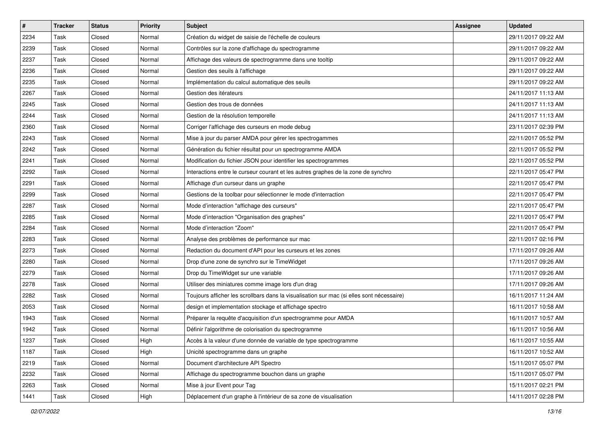| $\sharp$ | <b>Tracker</b> | <b>Status</b> | <b>Priority</b> | <b>Subject</b>                                                                            | Assignee | <b>Updated</b>      |
|----------|----------------|---------------|-----------------|-------------------------------------------------------------------------------------------|----------|---------------------|
| 2234     | Task           | Closed        | Normal          | Création du widget de saisie de l'échelle de couleurs                                     |          | 29/11/2017 09:22 AM |
| 2239     | Task           | Closed        | Normal          | Contrôles sur la zone d'affichage du spectrogramme                                        |          | 29/11/2017 09:22 AM |
| 2237     | Task           | Closed        | Normal          | Affichage des valeurs de spectrogramme dans une tooltip                                   |          | 29/11/2017 09:22 AM |
| 2236     | Task           | Closed        | Normal          | Gestion des seuils à l'affichage                                                          |          | 29/11/2017 09:22 AM |
| 2235     | Task           | Closed        | Normal          | Implémentation du calcul automatique des seuils                                           |          | 29/11/2017 09:22 AM |
| 2267     | Task           | Closed        | Normal          | Gestion des itérateurs                                                                    |          | 24/11/2017 11:13 AM |
| 2245     | Task           | Closed        | Normal          | Gestion des trous de données                                                              |          | 24/11/2017 11:13 AM |
| 2244     | Task           | Closed        | Normal          | Gestion de la résolution temporelle                                                       |          | 24/11/2017 11:13 AM |
| 2360     | Task           | Closed        | Normal          | Corriger l'affichage des curseurs en mode debug                                           |          | 23/11/2017 02:39 PM |
| 2243     | Task           | Closed        | Normal          | Mise à jour du parser AMDA pour gérer les spectrogammes                                   |          | 22/11/2017 05:52 PM |
| 2242     | Task           | Closed        | Normal          | Génération du fichier résultat pour un spectrogramme AMDA                                 |          | 22/11/2017 05:52 PM |
| 2241     | Task           | Closed        | Normal          | Modification du fichier JSON pour identifier les spectrogrammes                           |          | 22/11/2017 05:52 PM |
| 2292     | Task           | Closed        | Normal          | Interactions entre le curseur courant et les autres graphes de la zone de synchro         |          | 22/11/2017 05:47 PM |
| 2291     | Task           | Closed        | Normal          | Affichage d'un curseur dans un graphe                                                     |          | 22/11/2017 05:47 PM |
| 2299     | Task           | Closed        | Normal          | Gestions de la toolbar pour sélectionner le mode d'interraction                           |          | 22/11/2017 05:47 PM |
| 2287     | Task           | Closed        | Normal          | Mode d'interaction "affichage des curseurs"                                               |          | 22/11/2017 05:47 PM |
| 2285     | Task           | Closed        | Normal          | Mode d'interaction "Organisation des graphes"                                             |          | 22/11/2017 05:47 PM |
| 2284     | Task           | Closed        | Normal          | Mode d'interaction "Zoom"                                                                 |          | 22/11/2017 05:47 PM |
| 2283     | Task           | Closed        | Normal          | Analyse des problèmes de performance sur mac                                              |          | 22/11/2017 02:16 PM |
| 2273     | Task           | Closed        | Normal          | Redaction du document d'API pour les curseurs et les zones                                |          | 17/11/2017 09:26 AM |
| 2280     | Task           | Closed        | Normal          | Drop d'une zone de synchro sur le TimeWidget                                              |          | 17/11/2017 09:26 AM |
| 2279     | Task           | Closed        | Normal          | Drop du TimeWidget sur une variable                                                       |          | 17/11/2017 09:26 AM |
| 2278     | Task           | Closed        | Normal          | Utiliser des miniatures comme image lors d'un drag                                        |          | 17/11/2017 09:26 AM |
| 2282     | Task           | Closed        | Normal          | Toujours afficher les scrollbars dans la visualisation sur mac (si elles sont nécessaire) |          | 16/11/2017 11:24 AM |
| 2053     | Task           | Closed        | Normal          | design et implementation stockage et affichage spectro                                    |          | 16/11/2017 10:58 AM |
| 1943     | Task           | Closed        | Normal          | Préparer la requête d'acquisition d'un spectrogramme pour AMDA                            |          | 16/11/2017 10:57 AM |
| 1942     | Task           | Closed        | Normal          | Définir l'algorithme de colorisation du spectrogramme                                     |          | 16/11/2017 10:56 AM |
| 1237     | Task           | Closed        | High            | Accès à la valeur d'une donnée de variable de type spectrogramme                          |          | 16/11/2017 10:55 AM |
| 1187     | Task           | Closed        | High            | Unicité spectrogramme dans un graphe                                                      |          | 16/11/2017 10:52 AM |
| 2219     | Task           | Closed        | Normal          | Document d'architecture API Spectro                                                       |          | 15/11/2017 05:07 PM |
| 2232     | Task           | Closed        | Normal          | Affichage du spectrogramme bouchon dans un graphe                                         |          | 15/11/2017 05:07 PM |
| 2263     | Task           | Closed        | Normal          | Mise à jour Event pour Tag                                                                |          | 15/11/2017 02:21 PM |
| 1441     | Task           | Closed        | High            | Déplacement d'un graphe à l'intérieur de sa zone de visualisation                         |          | 14/11/2017 02:28 PM |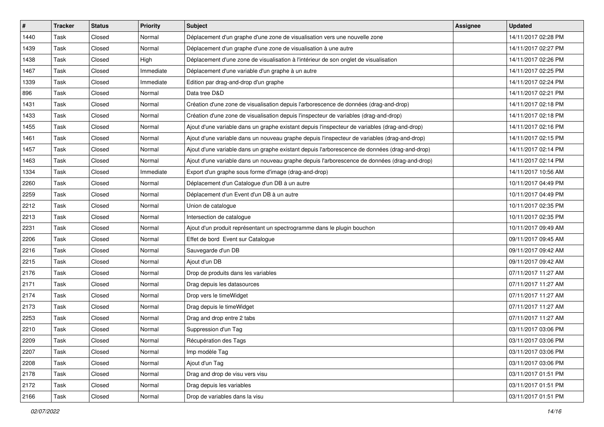| $\sharp$ | <b>Tracker</b> | <b>Status</b> | <b>Priority</b> | <b>Subject</b>                                                                                | Assignee | <b>Updated</b>      |
|----------|----------------|---------------|-----------------|-----------------------------------------------------------------------------------------------|----------|---------------------|
| 1440     | Task           | Closed        | Normal          | Déplacement d'un graphe d'une zone de visualisation vers une nouvelle zone                    |          | 14/11/2017 02:28 PM |
| 1439     | Task           | Closed        | Normal          | Déplacement d'un graphe d'une zone de visualisation à une autre                               |          | 14/11/2017 02:27 PM |
| 1438     | Task           | Closed        | High            | Déplacement d'une zone de visualisation à l'intérieur de son onglet de visualisation          |          | 14/11/2017 02:26 PM |
| 1467     | Task           | Closed        | Immediate       | Déplacement d'une variable d'un graphe à un autre                                             |          | 14/11/2017 02:25 PM |
| 1339     | Task           | Closed        | Immediate       | Edition par drag-and-drop d'un graphe                                                         |          | 14/11/2017 02:24 PM |
| 896      | Task           | Closed        | Normal          | Data tree D&D                                                                                 |          | 14/11/2017 02:21 PM |
| 1431     | Task           | Closed        | Normal          | Création d'une zone de visualisation depuis l'arborescence de données (drag-and-drop)         |          | 14/11/2017 02:18 PM |
| 1433     | Task           | Closed        | Normal          | Création d'une zone de visualisation depuis l'inspecteur de variables (drag-and-drop)         |          | 14/11/2017 02:18 PM |
| 1455     | Task           | Closed        | Normal          | Ajout d'une variable dans un graphe existant depuis l'inspecteur de variables (drag-and-drop) |          | 14/11/2017 02:16 PM |
| 1461     | Task           | Closed        | Normal          | Ajout d'une variable dans un nouveau graphe depuis l'inspecteur de variables (drag-and-drop)  |          | 14/11/2017 02:15 PM |
| 1457     | Task           | Closed        | Normal          | Ajout d'une variable dans un graphe existant depuis l'arborescence de données (drag-and-drop) |          | 14/11/2017 02:14 PM |
| 1463     | Task           | Closed        | Normal          | Ajout d'une variable dans un nouveau graphe depuis l'arborescence de données (drag-and-drop)  |          | 14/11/2017 02:14 PM |
| 1334     | Task           | Closed        | Immediate       | Export d'un graphe sous forme d'image (drag-and-drop)                                         |          | 14/11/2017 10:56 AM |
| 2260     | Task           | Closed        | Normal          | Déplacement d'un Catalogue d'un DB à un autre                                                 |          | 10/11/2017 04:49 PM |
| 2259     | Task           | Closed        | Normal          | Déplacement d'un Event d'un DB à un autre                                                     |          | 10/11/2017 04:49 PM |
| 2212     | Task           | Closed        | Normal          | Union de catalogue                                                                            |          | 10/11/2017 02:35 PM |
| 2213     | Task           | Closed        | Normal          | Intersection de catalogue                                                                     |          | 10/11/2017 02:35 PM |
| 2231     | Task           | Closed        | Normal          | Ajout d'un produit représentant un spectrogramme dans le plugin bouchon                       |          | 10/11/2017 09:49 AM |
| 2206     | Task           | Closed        | Normal          | Effet de bord Event sur Catalogue                                                             |          | 09/11/2017 09:45 AM |
| 2216     | Task           | Closed        | Normal          | Sauvegarde d'un DB                                                                            |          | 09/11/2017 09:42 AM |
| 2215     | Task           | Closed        | Normal          | Ajout d'un DB                                                                                 |          | 09/11/2017 09:42 AM |
| 2176     | Task           | Closed        | Normal          | Drop de produits dans les variables                                                           |          | 07/11/2017 11:27 AM |
| 2171     | Task           | Closed        | Normal          | Drag depuis les datasources                                                                   |          | 07/11/2017 11:27 AM |
| 2174     | Task           | Closed        | Normal          | Drop vers le timeWidget                                                                       |          | 07/11/2017 11:27 AM |
| 2173     | Task           | Closed        | Normal          | Drag depuis le timeWidget                                                                     |          | 07/11/2017 11:27 AM |
| 2253     | Task           | Closed        | Normal          | Drag and drop entre 2 tabs                                                                    |          | 07/11/2017 11:27 AM |
| 2210     | Task           | Closed        | Normal          | Suppression d'un Tag                                                                          |          | 03/11/2017 03:06 PM |
| 2209     | Task           | Closed        | Normal          | Récupération des Tags                                                                         |          | 03/11/2017 03:06 PM |
| 2207     | Task           | Closed        | Normal          | Imp modèle Tag                                                                                |          | 03/11/2017 03:06 PM |
| 2208     | Task           | Closed        | Normal          | Ajout d'un Tag                                                                                |          | 03/11/2017 03:06 PM |
| 2178     | Task           | Closed        | Normal          | Drag and drop de visu vers visu                                                               |          | 03/11/2017 01:51 PM |
| 2172     | Task           | Closed        | Normal          | Drag depuis les variables                                                                     |          | 03/11/2017 01:51 PM |
| 2166     | Task           | Closed        | Normal          | Drop de variables dans la visu                                                                |          | 03/11/2017 01:51 PM |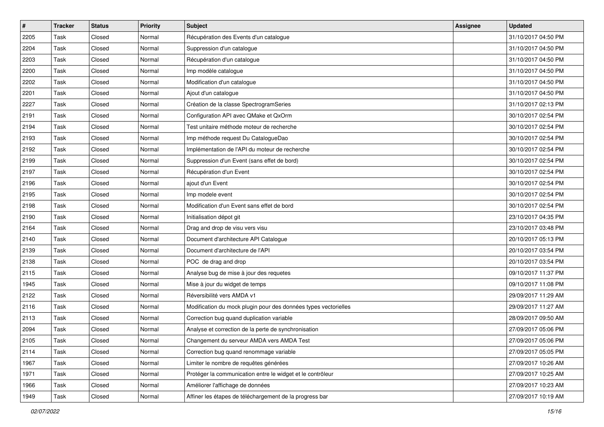| $\pmb{\#}$ | <b>Tracker</b> | <b>Status</b> | <b>Priority</b> | <b>Subject</b>                                                  | <b>Assignee</b> | <b>Updated</b>      |
|------------|----------------|---------------|-----------------|-----------------------------------------------------------------|-----------------|---------------------|
| 2205       | Task           | Closed        | Normal          | Récupération des Events d'un catalogue                          |                 | 31/10/2017 04:50 PM |
| 2204       | Task           | Closed        | Normal          | Suppression d'un catalogue                                      |                 | 31/10/2017 04:50 PM |
| 2203       | Task           | Closed        | Normal          | Récupération d'un catalogue                                     |                 | 31/10/2017 04:50 PM |
| 2200       | Task           | Closed        | Normal          | Imp modèle catalogue                                            |                 | 31/10/2017 04:50 PM |
| 2202       | Task           | Closed        | Normal          | Modification d'un catalogue                                     |                 | 31/10/2017 04:50 PM |
| 2201       | Task           | Closed        | Normal          | Ajout d'un catalogue                                            |                 | 31/10/2017 04:50 PM |
| 2227       | Task           | Closed        | Normal          | Création de la classe SpectrogramSeries                         |                 | 31/10/2017 02:13 PM |
| 2191       | Task           | Closed        | Normal          | Configuration API avec QMake et QxOrm                           |                 | 30/10/2017 02:54 PM |
| 2194       | Task           | Closed        | Normal          | Test unitaire méthode moteur de recherche                       |                 | 30/10/2017 02:54 PM |
| 2193       | Task           | Closed        | Normal          | Imp méthode request Du CatalogueDao                             |                 | 30/10/2017 02:54 PM |
| 2192       | Task           | Closed        | Normal          | Implémentation de l'API du moteur de recherche                  |                 | 30/10/2017 02:54 PM |
| 2199       | Task           | Closed        | Normal          | Suppression d'un Event (sans effet de bord)                     |                 | 30/10/2017 02:54 PM |
| 2197       | Task           | Closed        | Normal          | Récupération d'un Event                                         |                 | 30/10/2017 02:54 PM |
| 2196       | Task           | Closed        | Normal          | ajout d'un Event                                                |                 | 30/10/2017 02:54 PM |
| 2195       | Task           | Closed        | Normal          | Imp modele event                                                |                 | 30/10/2017 02:54 PM |
| 2198       | Task           | Closed        | Normal          | Modification d'un Event sans effet de bord                      |                 | 30/10/2017 02:54 PM |
| 2190       | Task           | Closed        | Normal          | Initialisation dépot git                                        |                 | 23/10/2017 04:35 PM |
| 2164       | Task           | Closed        | Normal          | Drag and drop de visu vers visu                                 |                 | 23/10/2017 03:48 PM |
| 2140       | Task           | Closed        | Normal          | Document d'architecture API Catalogue                           |                 | 20/10/2017 05:13 PM |
| 2139       | Task           | Closed        | Normal          | Document d'architecture de l'API                                |                 | 20/10/2017 03:54 PM |
| 2138       | Task           | Closed        | Normal          | POC de drag and drop                                            |                 | 20/10/2017 03:54 PM |
| 2115       | Task           | Closed        | Normal          | Analyse bug de mise à jour des requetes                         |                 | 09/10/2017 11:37 PM |
| 1945       | Task           | Closed        | Normal          | Mise à jour du widget de temps                                  |                 | 09/10/2017 11:08 PM |
| 2122       | Task           | Closed        | Normal          | Réversibilité vers AMDA v1                                      |                 | 29/09/2017 11:29 AM |
| 2116       | Task           | Closed        | Normal          | Modification du mock plugin pour des données types vectorielles |                 | 29/09/2017 11:27 AM |
| 2113       | Task           | Closed        | Normal          | Correction bug quand duplication variable                       |                 | 28/09/2017 09:50 AM |
| 2094       | Task           | Closed        | Normal          | Analyse et correction de la perte de synchronisation            |                 | 27/09/2017 05:06 PM |
| 2105       | Task           | Closed        | Normal          | Changement du serveur AMDA vers AMDA Test                       |                 | 27/09/2017 05:06 PM |
| 2114       | Task           | Closed        | Normal          | Correction bug quand renommage variable                         |                 | 27/09/2017 05:05 PM |
| 1967       | Task           | Closed        | Normal          | Limiter le nombre de requêtes générées                          |                 | 27/09/2017 10:26 AM |
| 1971       | Task           | Closed        | Normal          | Protéger la communication entre le widget et le contrôleur      |                 | 27/09/2017 10:25 AM |
| 1966       | Task           | Closed        | Normal          | Améliorer l'affichage de données                                |                 | 27/09/2017 10:23 AM |
| 1949       | Task           | Closed        | Normal          | Affiner les étapes de téléchargement de la progress bar         |                 | 27/09/2017 10:19 AM |